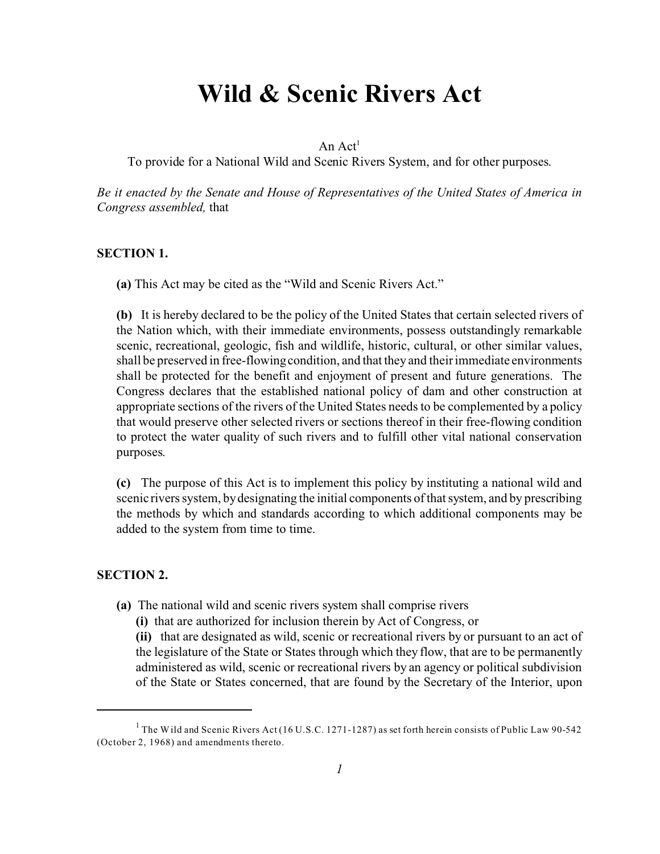# **Wild & Scenic Rivers Act**

An  $Act<sup>1</sup>$ 

To provide for a National Wild and Scenic Rivers System, and for other purposes.

*Be it enacted by the Senate and House of Representatives of the United States of America in Congress assembled,* that

#### **SECTION 1.**

**(a)** This Act may be cited as the "Wild and Scenic Rivers Act."

**(b)** It is hereby declared to be the policy of the United States that certain selected rivers of the Nation which, with their immediate environments, possess outstandingly remarkable scenic, recreational, geologic, fish and wildlife, historic, cultural, or other similar values, shall be preserved in free-flowing condition, and that they and their immediate environments shall be protected for the benefit and enjoyment of present and future generations. The Congress declares that the established national policy of dam and other construction at appropriate sections of the rivers of the United States needs to be complemented by a policy that would preserve other selected rivers or sections thereof in their free-flowing condition to protect the water quality of such rivers and to fulfill other vital national conservation purposes.

**(c)** The purpose of this Act is to implement this policy by instituting a national wild and scenic rivers system, by designating the initial components of that system, and by prescribing the methods by which and standards according to which additional components may be added to the system from time to time.

#### **SECTION 2.**

- **(a)** The national wild and scenic rivers system shall comprise rivers
	- **(i)** that are authorized for inclusion therein by Act of Congress, or

**(ii)** that are designated as wild, scenic or recreational rivers by or pursuant to an act of the legislature of the State or States through which they flow, that are to be permanently administered as wild, scenic or recreational rivers by an agency or political subdivision of the State or States concerned, that are found by the Secretary of the Interior, upon

<sup>&</sup>lt;sup>1</sup> The Wild and Scenic Rivers Act (16 U.S.C. 1271-1287) as set forth herein consists of Public Law 90-542 (October 2, 1968) and amendments thereto.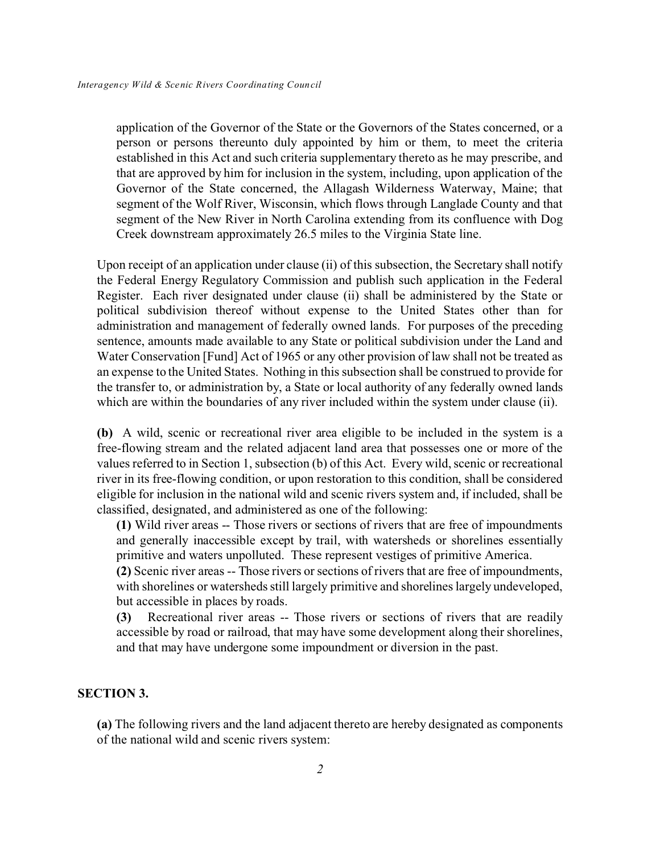application of the Governor of the State or the Governors of the States concerned, or a person or persons thereunto duly appointed by him or them, to meet the criteria established in this Act and such criteria supplementary thereto as he may prescribe, and that are approved by him for inclusion in the system, including, upon application of the Governor of the State concerned, the Allagash Wilderness Waterway, Maine; that segment of the Wolf River, Wisconsin, which flows through Langlade County and that segment of the New River in North Carolina extending from its confluence with Dog Creek downstream approximately 26.5 miles to the Virginia State line.

Upon receipt of an application under clause (ii) of this subsection, the Secretary shall notify the Federal Energy Regulatory Commission and publish such application in the Federal Register. Each river designated under clause (ii) shall be administered by the State or political subdivision thereof without expense to the United States other than for administration and management of federally owned lands. For purposes of the preceding sentence, amounts made available to any State or political subdivision under the Land and Water Conservation [Fund] Act of 1965 or any other provision of law shall not be treated as an expense to the United States. Nothing in this subsection shall be construed to provide for the transfer to, or administration by, a State or local authority of any federally owned lands which are within the boundaries of any river included within the system under clause (ii).

**(b)** A wild, scenic or recreational river area eligible to be included in the system is a free-flowing stream and the related adjacent land area that possesses one or more of the values referred to in Section 1, subsection (b) of this Act. Every wild, scenic or recreational river in its free-flowing condition, or upon restoration to this condition, shall be considered eligible for inclusion in the national wild and scenic rivers system and, if included, shall be classified, designated, and administered as one of the following:

**(1)** Wild river areas -- Those rivers or sections of rivers that are free of impoundments and generally inaccessible except by trail, with watersheds or shorelines essentially primitive and waters unpolluted. These represent vestiges of primitive America.

**(2)** Scenic river areas -- Those rivers or sections of rivers that are free of impoundments, with shorelines or watersheds still largely primitive and shorelines largely undeveloped, but accessible in places by roads.

**(3)** Recreational river areas -- Those rivers or sections of rivers that are readily accessible by road or railroad, that may have some development along their shorelines, and that may have undergone some impoundment or diversion in the past.

# **SECTION 3.**

**(a)** The following rivers and the land adjacent thereto are hereby designated as components of the national wild and scenic rivers system: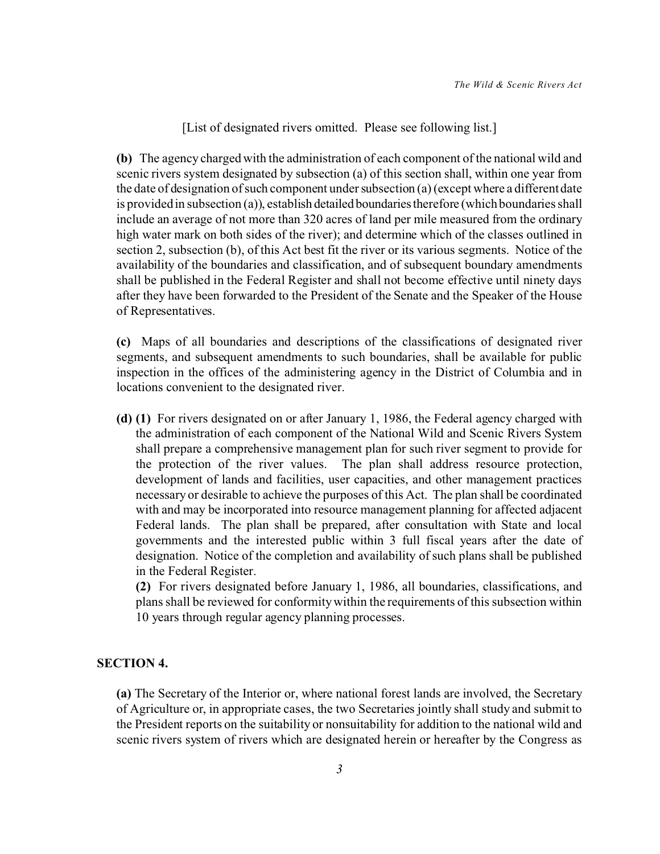[List of designated rivers omitted. Please see following list.]

**(b)** The agency charged with the administration of each component of the national wild and scenic rivers system designated by subsection (a) of this section shall, within one year from the date of designation of such component under subsection (a) (except where a different date is provided in subsection (a)), establish detailed boundaries therefore (which boundaries shall include an average of not more than 320 acres of land per mile measured from the ordinary high water mark on both sides of the river); and determine which of the classes outlined in section 2, subsection (b), of this Act best fit the river or its various segments. Notice of the availability of the boundaries and classification, and of subsequent boundary amendments shall be published in the Federal Register and shall not become effective until ninety days after they have been forwarded to the President of the Senate and the Speaker of the House of Representatives.

**(c)** Maps of all boundaries and descriptions of the classifications of designated river segments, and subsequent amendments to such boundaries, shall be available for public inspection in the offices of the administering agency in the District of Columbia and in locations convenient to the designated river.

**(d) (1)** For rivers designated on or after January 1, 1986, the Federal agency charged with the administration of each component of the National Wild and Scenic Rivers System shall prepare a comprehensive management plan for such river segment to provide for the protection of the river values. The plan shall address resource protection, development of lands and facilities, user capacities, and other management practices necessary or desirable to achieve the purposes of this Act. The plan shall be coordinated with and may be incorporated into resource management planning for affected adjacent Federal lands. The plan shall be prepared, after consultation with State and local governments and the interested public within 3 full fiscal years after the date of designation. Notice of the completion and availability of such plans shall be published in the Federal Register.

**(2)** For rivers designated before January 1, 1986, all boundaries, classifications, and plans shall be reviewed for conformity within the requirements of this subsection within 10 years through regular agency planning processes.

#### **SECTION 4.**

**(a)** The Secretary of the Interior or, where national forest lands are involved, the Secretary of Agriculture or, in appropriate cases, the two Secretaries jointly shall study and submit to the President reports on the suitability or nonsuitability for addition to the national wild and scenic rivers system of rivers which are designated herein or hereafter by the Congress as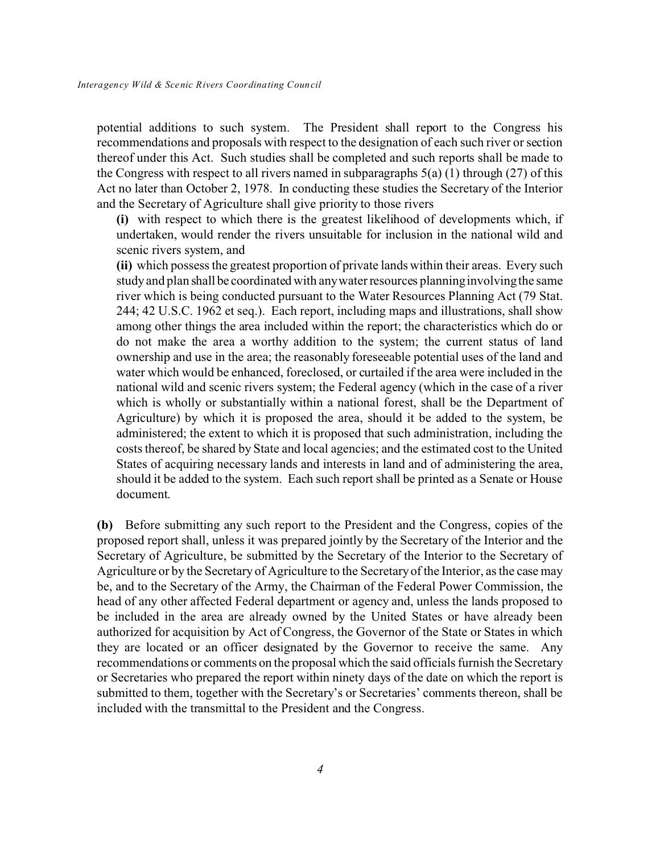potential additions to such system. The President shall report to the Congress his recommendations and proposals with respect to the designation of each such river or section thereof under this Act. Such studies shall be completed and such reports shall be made to the Congress with respect to all rivers named in subparagraphs  $5(a)$  (1) through (27) of this Act no later than October 2, 1978. In conducting these studies the Secretary of the Interior and the Secretary of Agriculture shall give priority to those rivers

**(i)** with respect to which there is the greatest likelihood of developments which, if undertaken, would render the rivers unsuitable for inclusion in the national wild and scenic rivers system, and

**(ii)** which possess the greatest proportion of private lands within their areas. Every such study and plan shall be coordinated with any water resources planning involving the same river which is being conducted pursuant to the Water Resources Planning Act (79 Stat. 244; 42 U.S.C. 1962 et seq.). Each report, including maps and illustrations, shall show among other things the area included within the report; the characteristics which do or do not make the area a worthy addition to the system; the current status of land ownership and use in the area; the reasonably foreseeable potential uses of the land and water which would be enhanced, foreclosed, or curtailed if the area were included in the national wild and scenic rivers system; the Federal agency (which in the case of a river which is wholly or substantially within a national forest, shall be the Department of Agriculture) by which it is proposed the area, should it be added to the system, be administered; the extent to which it is proposed that such administration, including the costs thereof, be shared by State and local agencies; and the estimated cost to the United States of acquiring necessary lands and interests in land and of administering the area, should it be added to the system. Each such report shall be printed as a Senate or House document.

**(b)** Before submitting any such report to the President and the Congress, copies of the proposed report shall, unless it was prepared jointly by the Secretary of the Interior and the Secretary of Agriculture, be submitted by the Secretary of the Interior to the Secretary of Agriculture or by the Secretary of Agriculture to the Secretary of the Interior, as the case may be, and to the Secretary of the Army, the Chairman of the Federal Power Commission, the head of any other affected Federal department or agency and, unless the lands proposed to be included in the area are already owned by the United States or have already been authorized for acquisition by Act of Congress, the Governor of the State or States in which they are located or an officer designated by the Governor to receive the same. Any recommendations or comments on the proposal which the said officials furnish the Secretary or Secretaries who prepared the report within ninety days of the date on which the report is submitted to them, together with the Secretary's or Secretaries' comments thereon, shall be included with the transmittal to the President and the Congress.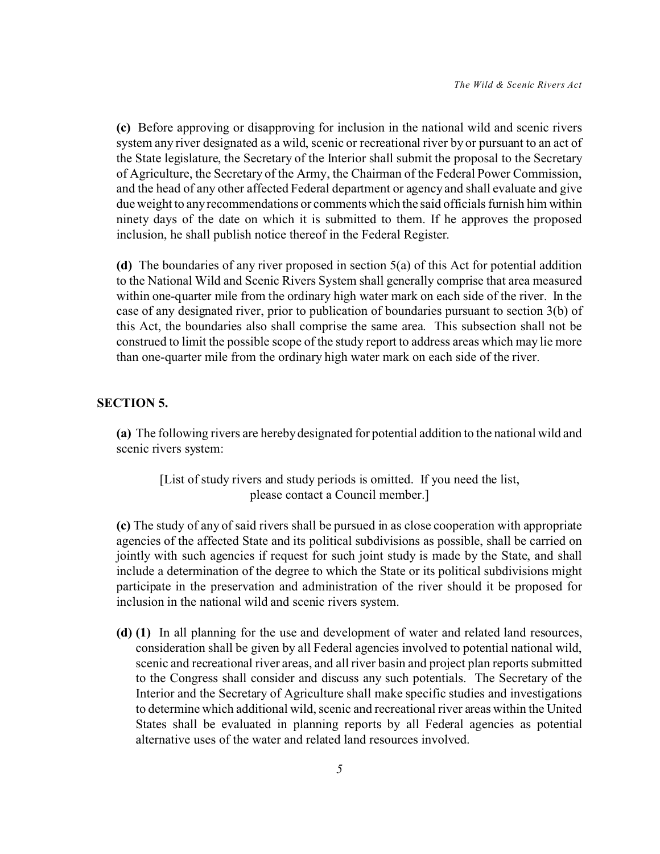**(c)** Before approving or disapproving for inclusion in the national wild and scenic rivers system any river designated as a wild, scenic or recreational river by or pursuant to an act of the State legislature, the Secretary of the Interior shall submit the proposal to the Secretary of Agriculture, the Secretary of the Army, the Chairman of the Federal Power Commission, and the head of any other affected Federal department or agency and shall evaluate and give due weight to any recommendations or comments which the said officials furnish him within ninety days of the date on which it is submitted to them. If he approves the proposed inclusion, he shall publish notice thereof in the Federal Register.

**(d)** The boundaries of any river proposed in section 5(a) of this Act for potential addition to the National Wild and Scenic Rivers System shall generally comprise that area measured within one-quarter mile from the ordinary high water mark on each side of the river. In the case of any designated river, prior to publication of boundaries pursuant to section 3(b) of this Act, the boundaries also shall comprise the same area. This subsection shall not be construed to limit the possible scope of the study report to address areas which may lie more than one-quarter mile from the ordinary high water mark on each side of the river.

# **SECTION 5.**

**(a)** The following rivers are hereby designated for potential addition to the national wild and scenic rivers system:

[List of study rivers and study periods is omitted. If you need the list, please contact a Council member.]

**(c)** The study of any of said rivers shall be pursued in as close cooperation with appropriate agencies of the affected State and its political subdivisions as possible, shall be carried on jointly with such agencies if request for such joint study is made by the State, and shall include a determination of the degree to which the State or its political subdivisions might participate in the preservation and administration of the river should it be proposed for inclusion in the national wild and scenic rivers system.

**(d) (1)** In all planning for the use and development of water and related land resources, consideration shall be given by all Federal agencies involved to potential national wild, scenic and recreational river areas, and all river basin and project plan reports submitted to the Congress shall consider and discuss any such potentials. The Secretary of the Interior and the Secretary of Agriculture shall make specific studies and investigations to determine which additional wild, scenic and recreational river areas within the United States shall be evaluated in planning reports by all Federal agencies as potential alternative uses of the water and related land resources involved.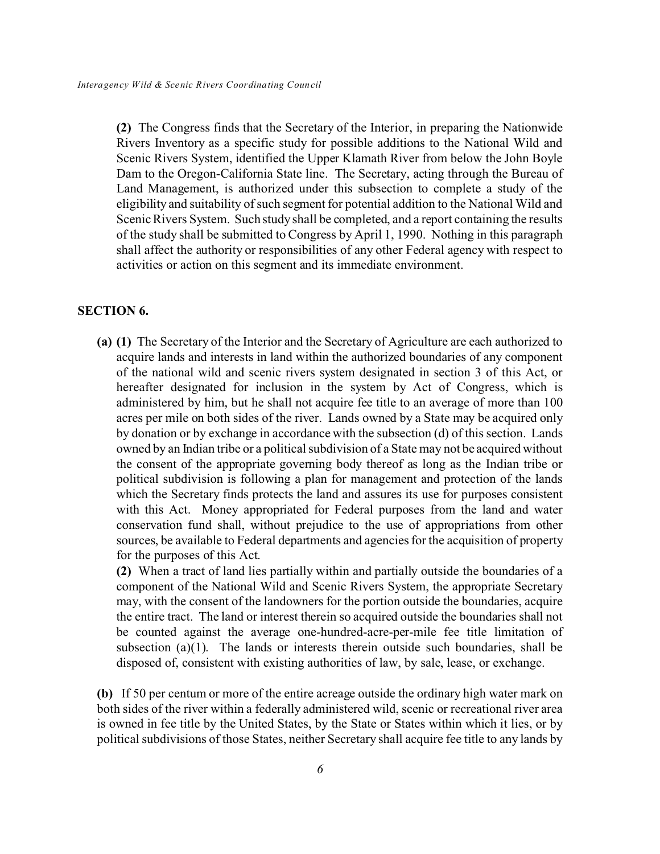**(2)** The Congress finds that the Secretary of the Interior, in preparing the Nationwide Rivers Inventory as a specific study for possible additions to the National Wild and Scenic Rivers System, identified the Upper Klamath River from below the John Boyle Dam to the Oregon-California State line. The Secretary, acting through the Bureau of Land Management, is authorized under this subsection to complete a study of the eligibility and suitability of such segment for potential addition to the National Wild and Scenic Rivers System. Such study shall be completed, and a report containing the results of the study shall be submitted to Congress by April 1, 1990. Nothing in this paragraph shall affect the authority or responsibilities of any other Federal agency with respect to activities or action on this segment and its immediate environment.

# **SECTION 6.**

**(a) (1)** The Secretary of the Interior and the Secretary of Agriculture are each authorized to acquire lands and interests in land within the authorized boundaries of any component of the national wild and scenic rivers system designated in section 3 of this Act, or hereafter designated for inclusion in the system by Act of Congress, which is administered by him, but he shall not acquire fee title to an average of more than 100 acres per mile on both sides of the river. Lands owned by a State may be acquired only by donation or by exchange in accordance with the subsection (d) of this section. Lands owned by an Indian tribe or a political subdivision of a State may not be acquired without the consent of the appropriate governing body thereof as long as the Indian tribe or political subdivision is following a plan for management and protection of the lands which the Secretary finds protects the land and assures its use for purposes consistent with this Act. Money appropriated for Federal purposes from the land and water conservation fund shall, without prejudice to the use of appropriations from other sources, be available to Federal departments and agencies for the acquisition of property for the purposes of this Act.

**(2)** When a tract of land lies partially within and partially outside the boundaries of a component of the National Wild and Scenic Rivers System, the appropriate Secretary may, with the consent of the landowners for the portion outside the boundaries, acquire the entire tract. The land or interest therein so acquired outside the boundaries shall not be counted against the average one-hundred-acre-per-mile fee title limitation of subsection  $(a)(1)$ . The lands or interests therein outside such boundaries, shall be disposed of, consistent with existing authorities of law, by sale, lease, or exchange.

**(b)** If 50 per centum or more of the entire acreage outside the ordinary high water mark on both sides of the river within a federally administered wild, scenic or recreational river area is owned in fee title by the United States, by the State or States within which it lies, or by political subdivisions of those States, neither Secretary shall acquire fee title to any lands by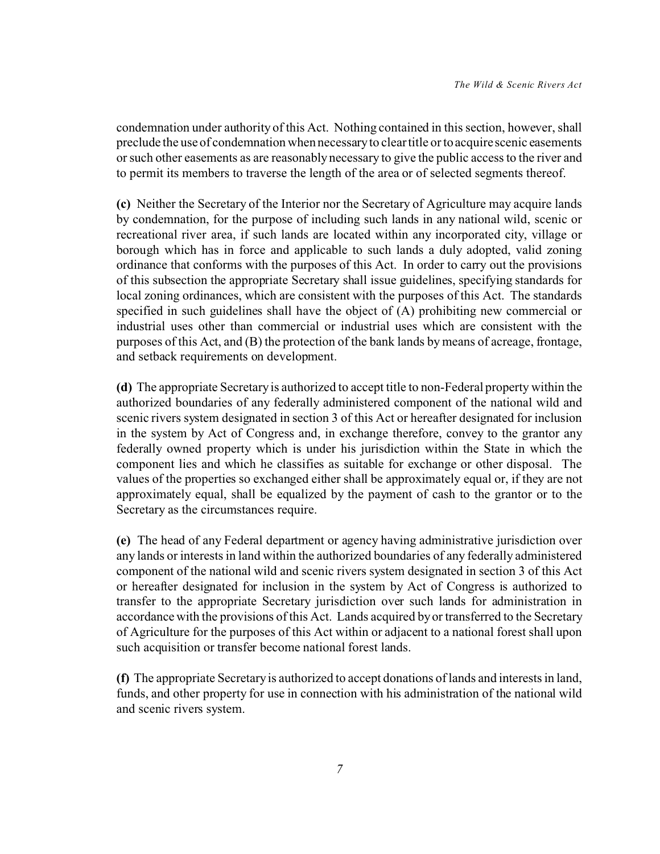condemnation under authority of this Act. Nothing contained in this section, however, shall preclude the use of condemnation when necessary to clear title or to acquire scenic easements or such other easements as are reasonably necessary to give the public access to the river and to permit its members to traverse the length of the area or of selected segments thereof.

**(c)** Neither the Secretary of the Interior nor the Secretary of Agriculture may acquire lands by condemnation, for the purpose of including such lands in any national wild, scenic or recreational river area, if such lands are located within any incorporated city, village or borough which has in force and applicable to such lands a duly adopted, valid zoning ordinance that conforms with the purposes of this Act. In order to carry out the provisions of this subsection the appropriate Secretary shall issue guidelines, specifying standards for local zoning ordinances, which are consistent with the purposes of this Act. The standards specified in such guidelines shall have the object of (A) prohibiting new commercial or industrial uses other than commercial or industrial uses which are consistent with the purposes of this Act, and (B) the protection of the bank lands by means of acreage, frontage, and setback requirements on development.

**(d)** The appropriate Secretary is authorized to accept title to non-Federal property within the authorized boundaries of any federally administered component of the national wild and scenic rivers system designated in section 3 of this Act or hereafter designated for inclusion in the system by Act of Congress and, in exchange therefore, convey to the grantor any federally owned property which is under his jurisdiction within the State in which the component lies and which he classifies as suitable for exchange or other disposal. The values of the properties so exchanged either shall be approximately equal or, if they are not approximately equal, shall be equalized by the payment of cash to the grantor or to the Secretary as the circumstances require.

**(e)** The head of any Federal department or agency having administrative jurisdiction over any lands or interests in land within the authorized boundaries of any federally administered component of the national wild and scenic rivers system designated in section 3 of this Act or hereafter designated for inclusion in the system by Act of Congress is authorized to transfer to the appropriate Secretary jurisdiction over such lands for administration in accordance with the provisions of this Act. Lands acquired by or transferred to the Secretary of Agriculture for the purposes of this Act within or adjacent to a national forest shall upon such acquisition or transfer become national forest lands.

**(f)** The appropriate Secretary is authorized to accept donations of lands and interests in land, funds, and other property for use in connection with his administration of the national wild and scenic rivers system.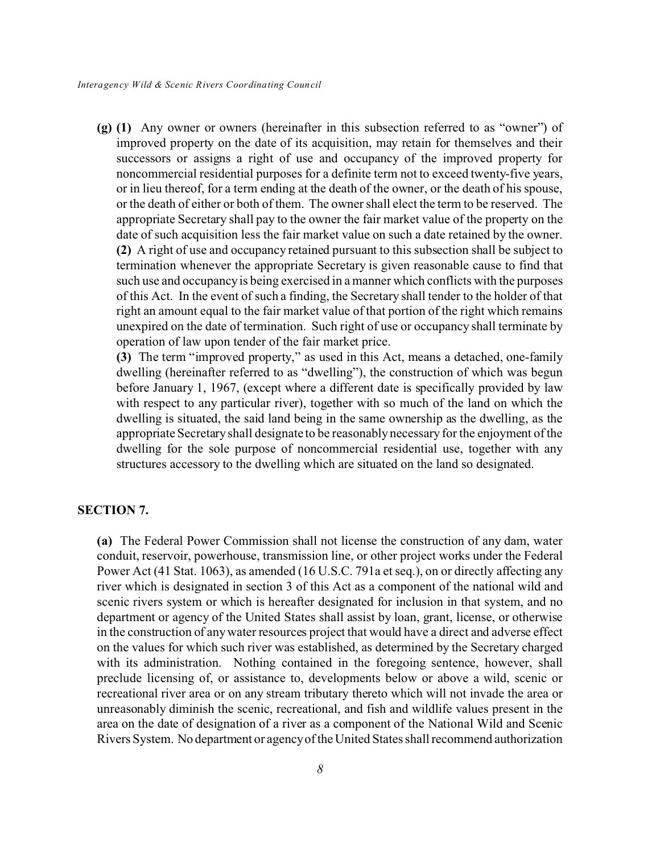**(g) (1)** Any owner or owners (hereinafter in this subsection referred to as "owner") of improved property on the date of its acquisition, may retain for themselves and their successors or assigns a right of use and occupancy of the improved property for noncommercial residential purposes for a definite term not to exceed twenty-five years, or in lieu thereof, for a term ending at the death of the owner, or the death of his spouse, or the death of either or both of them. The owner shall elect the term to be reserved. The appropriate Secretary shall pay to the owner the fair market value of the property on the date of such acquisition less the fair market value on such a date retained by the owner. **(2)** A right of use and occupancy retained pursuant to this subsection shall be subject to termination whenever the appropriate Secretary is given reasonable cause to find that such use and occupancy is being exercised in a manner which conflicts with the purposes of this Act. In the event of such a finding, the Secretary shall tender to the holder of that right an amount equal to the fair market value of that portion of the right which remains unexpired on the date of termination. Such right of use or occupancy shall terminate by operation of law upon tender of the fair market price.

**(3)** The term "improved property," as used in this Act, means a detached, one-family dwelling (hereinafter referred to as "dwelling"), the construction of which was begun before January 1, 1967, (except where a different date is specifically provided by law with respect to any particular river), together with so much of the land on which the dwelling is situated, the said land being in the same ownership as the dwelling, as the appropriate Secretary shall designate to be reasonably necessary for the enjoyment of the dwelling for the sole purpose of noncommercial residential use, together with any structures accessory to the dwelling which are situated on the land so designated.

#### **SECTION 7.**

**(a)** The Federal Power Commission shall not license the construction of any dam, water conduit, reservoir, powerhouse, transmission line, or other project works under the Federal Power Act (41 Stat. 1063), as amended (16 U.S.C. 791a et seq.), on or directly affecting any river which is designated in section 3 of this Act as a component of the national wild and scenic rivers system or which is hereafter designated for inclusion in that system, and no department or agency of the United States shall assist by loan, grant, license, or otherwise in the construction of any water resources project that would have a direct and adverse effect on the values for which such river was established, as determined by the Secretary charged with its administration. Nothing contained in the foregoing sentence, however, shall preclude licensing of, or assistance to, developments below or above a wild, scenic or recreational river area or on any stream tributary thereto which will not invade the area or unreasonably diminish the scenic, recreational, and fish and wildlife values present in the area on the date of designation of a river as a component of the National Wild and Scenic Rivers System. No department or agency of the United States shall recommend authorization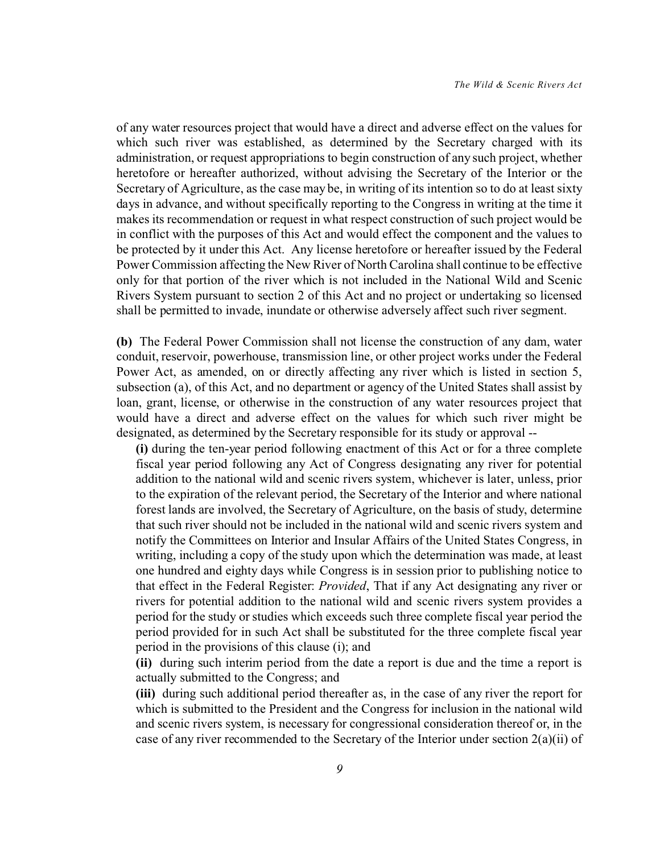of any water resources project that would have a direct and adverse effect on the values for which such river was established, as determined by the Secretary charged with its administration, or request appropriations to begin construction of any such project, whether heretofore or hereafter authorized, without advising the Secretary of the Interior or the Secretary of Agriculture, as the case may be, in writing of its intention so to do at least sixty days in advance, and without specifically reporting to the Congress in writing at the time it makes its recommendation or request in what respect construction of such project would be in conflict with the purposes of this Act and would effect the component and the values to be protected by it under this Act. Any license heretofore or hereafter issued by the Federal Power Commission affecting the New River of North Carolina shall continue to be effective only for that portion of the river which is not included in the National Wild and Scenic Rivers System pursuant to section 2 of this Act and no project or undertaking so licensed shall be permitted to invade, inundate or otherwise adversely affect such river segment.

**(b)** The Federal Power Commission shall not license the construction of any dam, water conduit, reservoir, powerhouse, transmission line, or other project works under the Federal Power Act, as amended, on or directly affecting any river which is listed in section 5, subsection (a), of this Act, and no department or agency of the United States shall assist by loan, grant, license, or otherwise in the construction of any water resources project that would have a direct and adverse effect on the values for which such river might be designated, as determined by the Secretary responsible for its study or approval --

**(i)** during the ten-year period following enactment of this Act or for a three complete fiscal year period following any Act of Congress designating any river for potential addition to the national wild and scenic rivers system, whichever is later, unless, prior to the expiration of the relevant period, the Secretary of the Interior and where national forest lands are involved, the Secretary of Agriculture, on the basis of study, determine that such river should not be included in the national wild and scenic rivers system and notify the Committees on Interior and Insular Affairs of the United States Congress, in writing, including a copy of the study upon which the determination was made, at least one hundred and eighty days while Congress is in session prior to publishing notice to that effect in the Federal Register: *Provided*, That if any Act designating any river or rivers for potential addition to the national wild and scenic rivers system provides a period for the study or studies which exceeds such three complete fiscal year period the period provided for in such Act shall be substituted for the three complete fiscal year period in the provisions of this clause (i); and

**(ii)** during such interim period from the date a report is due and the time a report is actually submitted to the Congress; and

**(iii)** during such additional period thereafter as, in the case of any river the report for which is submitted to the President and the Congress for inclusion in the national wild and scenic rivers system, is necessary for congressional consideration thereof or, in the case of any river recommended to the Secretary of the Interior under section 2(a)(ii) of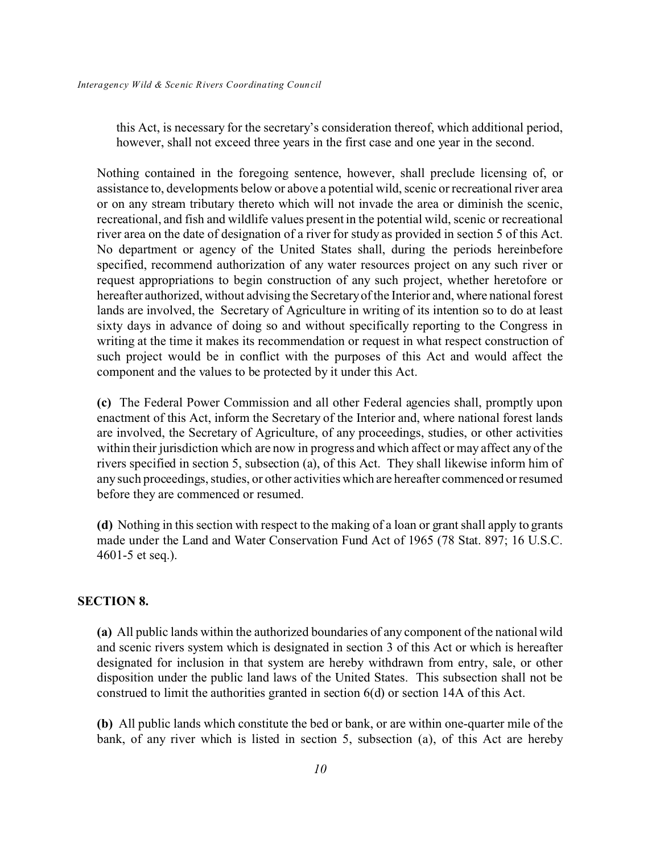this Act, is necessary for the secretary's consideration thereof, which additional period, however, shall not exceed three years in the first case and one year in the second.

Nothing contained in the foregoing sentence, however, shall preclude licensing of, or assistance to, developments below or above a potential wild, scenic or recreational river area or on any stream tributary thereto which will not invade the area or diminish the scenic, recreational, and fish and wildlife values present in the potential wild, scenic or recreational river area on the date of designation of a river for study as provided in section 5 of this Act. No department or agency of the United States shall, during the periods hereinbefore specified, recommend authorization of any water resources project on any such river or request appropriations to begin construction of any such project, whether heretofore or hereafter authorized, without advising the Secretary of the Interior and, where national forest lands are involved, the Secretary of Agriculture in writing of its intention so to do at least sixty days in advance of doing so and without specifically reporting to the Congress in writing at the time it makes its recommendation or request in what respect construction of such project would be in conflict with the purposes of this Act and would affect the component and the values to be protected by it under this Act.

**(c)** The Federal Power Commission and all other Federal agencies shall, promptly upon enactment of this Act, inform the Secretary of the Interior and, where national forest lands are involved, the Secretary of Agriculture, of any proceedings, studies, or other activities within their jurisdiction which are now in progress and which affect or may affect any of the rivers specified in section 5, subsection (a), of this Act. They shall likewise inform him of any such proceedings, studies, or other activities which are hereafter commenced or resumed before they are commenced or resumed.

**(d)** Nothing in this section with respect to the making of a loan or grant shall apply to grants made under the Land and Water Conservation Fund Act of 1965 (78 Stat. 897; 16 U.S.C. 4601-5 et seq.).

# **SECTION 8.**

**(a)** All public lands within the authorized boundaries of any component of the national wild and scenic rivers system which is designated in section 3 of this Act or which is hereafter designated for inclusion in that system are hereby withdrawn from entry, sale, or other disposition under the public land laws of the United States. This subsection shall not be construed to limit the authorities granted in section 6(d) or section 14A of this Act.

**(b)** All public lands which constitute the bed or bank, or are within one-quarter mile of the bank, of any river which is listed in section 5, subsection (a), of this Act are hereby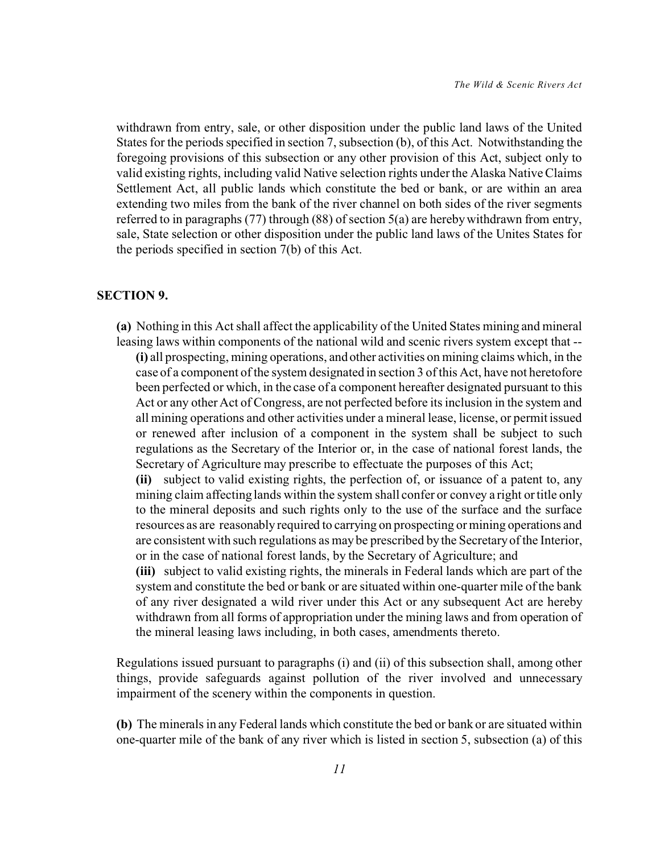withdrawn from entry, sale, or other disposition under the public land laws of the United States for the periods specified in section 7, subsection (b), of this Act. Notwithstanding the foregoing provisions of this subsection or any other provision of this Act, subject only to valid existing rights, including valid Native selection rights under the Alaska Native Claims Settlement Act, all public lands which constitute the bed or bank, or are within an area extending two miles from the bank of the river channel on both sides of the river segments referred to in paragraphs (77) through (88) of section 5(a) are hereby withdrawn from entry, sale, State selection or other disposition under the public land laws of the Unites States for the periods specified in section 7(b) of this Act.

#### **SECTION 9.**

**(a)** Nothing in this Act shall affect the applicability of the United States mining and mineral leasing laws within components of the national wild and scenic rivers system except that -- **(i)** all prospecting, mining operations, and other activities on mining claims which, in the case of a component of the system designated in section 3 of this Act, have not heretofore been perfected or which, in the case of a component hereafter designated pursuant to this Act or any other Act of Congress, are not perfected before its inclusion in the system and all mining operations and other activities under a mineral lease, license, or permit issued or renewed after inclusion of a component in the system shall be subject to such regulations as the Secretary of the Interior or, in the case of national forest lands, the Secretary of Agriculture may prescribe to effectuate the purposes of this Act; **(ii)** subject to valid existing rights, the perfection of, or issuance of a patent to, any

mining claim affecting lands within the system shall confer or convey a right or title only to the mineral deposits and such rights only to the use of the surface and the surface resources as are reasonably required to carrying on prospecting or mining operations and are consistent with such regulations as may be prescribed by the Secretary of the Interior, or in the case of national forest lands, by the Secretary of Agriculture; and

**(iii)** subject to valid existing rights, the minerals in Federal lands which are part of the system and constitute the bed or bank or are situated within one-quarter mile of the bank of any river designated a wild river under this Act or any subsequent Act are hereby withdrawn from all forms of appropriation under the mining laws and from operation of the mineral leasing laws including, in both cases, amendments thereto.

Regulations issued pursuant to paragraphs (i) and (ii) of this subsection shall, among other things, provide safeguards against pollution of the river involved and unnecessary impairment of the scenery within the components in question.

**(b)** The minerals in any Federal lands which constitute the bed or bank or are situated within one-quarter mile of the bank of any river which is listed in section 5, subsection (a) of this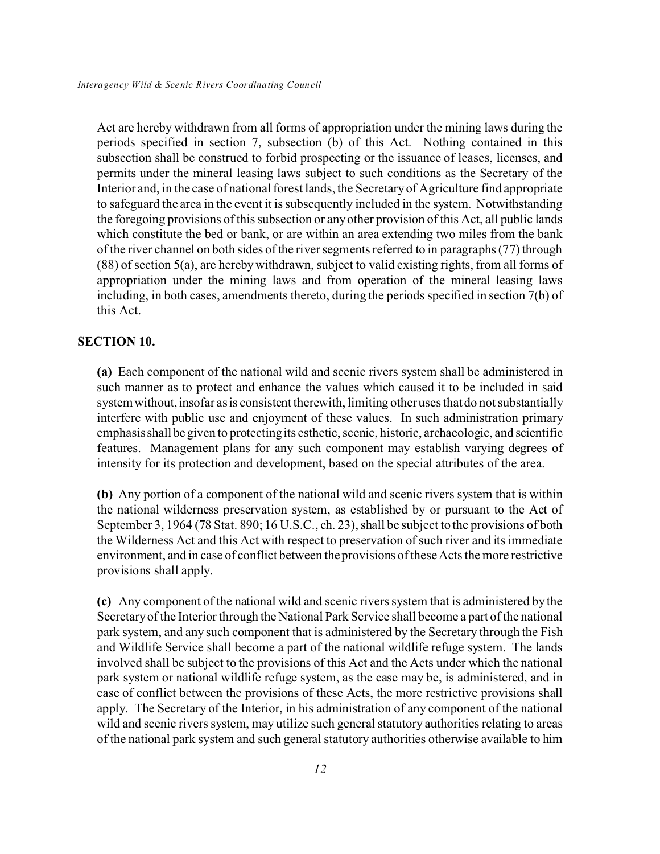Act are hereby withdrawn from all forms of appropriation under the mining laws during the periods specified in section 7, subsection (b) of this Act. Nothing contained in this subsection shall be construed to forbid prospecting or the issuance of leases, licenses, and permits under the mineral leasing laws subject to such conditions as the Secretary of the Interior and, in the case of national forest lands, the Secretary of Agriculture find appropriate to safeguard the area in the event it is subsequently included in the system. Notwithstanding the foregoing provisions of this subsection or any other provision of this Act, all public lands which constitute the bed or bank, or are within an area extending two miles from the bank of the river channel on both sides of the river segments referred to in paragraphs (77) through (88) of section 5(a), are hereby withdrawn, subject to valid existing rights, from all forms of appropriation under the mining laws and from operation of the mineral leasing laws including, in both cases, amendments thereto, during the periods specified in section 7(b) of this Act.

## **SECTION 10.**

**(a)** Each component of the national wild and scenic rivers system shall be administered in such manner as to protect and enhance the values which caused it to be included in said system without, insofar as is consistent therewith, limiting other uses that do not substantially interfere with public use and enjoyment of these values. In such administration primary emphasis shall be given to protecting its esthetic, scenic, historic, archaeologic, and scientific features. Management plans for any such component may establish varying degrees of intensity for its protection and development, based on the special attributes of the area.

**(b)** Any portion of a component of the national wild and scenic rivers system that is within the national wilderness preservation system, as established by or pursuant to the Act of September 3, 1964 (78 Stat. 890; 16 U.S.C., ch. 23), shall be subject to the provisions of both the Wilderness Act and this Act with respect to preservation of such river and its immediate environment, and in case of conflict between the provisions of these Acts the more restrictive provisions shall apply.

**(c)** Any component of the national wild and scenic rivers system that is administered by the Secretary of the Interior through the National Park Service shall become a part of the national park system, and any such component that is administered by the Secretary through the Fish and Wildlife Service shall become a part of the national wildlife refuge system. The lands involved shall be subject to the provisions of this Act and the Acts under which the national park system or national wildlife refuge system, as the case may be, is administered, and in case of conflict between the provisions of these Acts, the more restrictive provisions shall apply. The Secretary of the Interior, in his administration of any component of the national wild and scenic rivers system, may utilize such general statutory authorities relating to areas of the national park system and such general statutory authorities otherwise available to him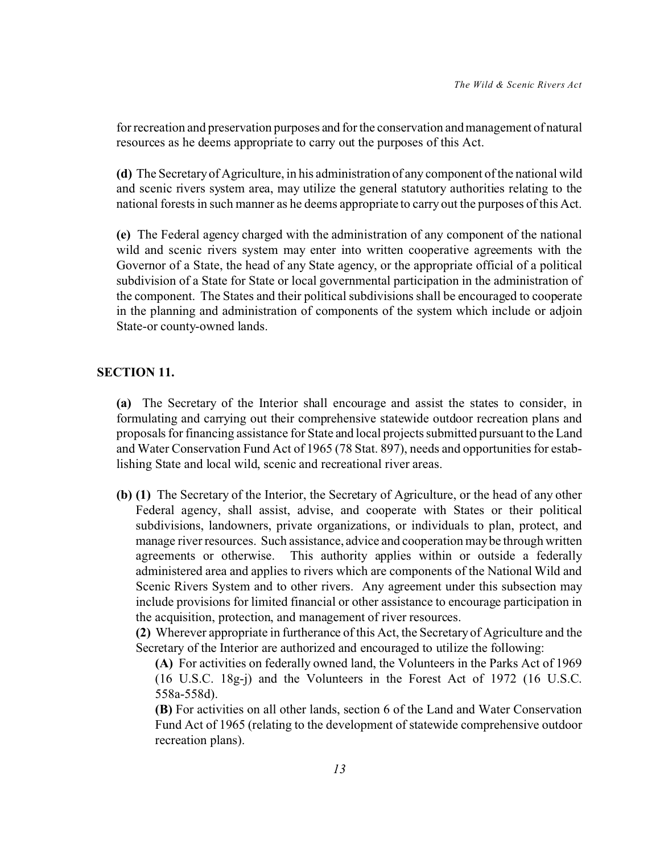for recreation and preservation purposes and for the conservation and management of natural resources as he deems appropriate to carry out the purposes of this Act.

**(d)** The Secretary of Agriculture, in his administration of any component of the national wild and scenic rivers system area, may utilize the general statutory authorities relating to the national forests in such manner as he deems appropriate to carry out the purposes of this Act.

**(e)** The Federal agency charged with the administration of any component of the national wild and scenic rivers system may enter into written cooperative agreements with the Governor of a State, the head of any State agency, or the appropriate official of a political subdivision of a State for State or local governmental participation in the administration of the component. The States and their political subdivisions shall be encouraged to cooperate in the planning and administration of components of the system which include or adjoin State-or county-owned lands.

# **SECTION 11.**

**(a)** The Secretary of the Interior shall encourage and assist the states to consider, in formulating and carrying out their comprehensive statewide outdoor recreation plans and proposals for financing assistance for State and local projects submitted pursuant to the Land and Water Conservation Fund Act of 1965 (78 Stat. 897), needs and opportunities for establishing State and local wild, scenic and recreational river areas.

**(b) (1)** The Secretary of the Interior, the Secretary of Agriculture, or the head of any other Federal agency, shall assist, advise, and cooperate with States or their political subdivisions, landowners, private organizations, or individuals to plan, protect, and manage river resources. Such assistance, advice and cooperation may be through written agreements or otherwise. This authority applies within or outside a federally administered area and applies to rivers which are components of the National Wild and Scenic Rivers System and to other rivers. Any agreement under this subsection may include provisions for limited financial or other assistance to encourage participation in the acquisition, protection, and management of river resources.

**(2)** Wherever appropriate in furtherance of this Act, the Secretary of Agriculture and the Secretary of the Interior are authorized and encouraged to utilize the following:

**(A)** For activities on federally owned land, the Volunteers in the Parks Act of 1969 (16 U.S.C. 18g-j) and the Volunteers in the Forest Act of 1972 (16 U.S.C. 558a-558d).

**(B)** For activities on all other lands, section 6 of the Land and Water Conservation Fund Act of 1965 (relating to the development of statewide comprehensive outdoor recreation plans).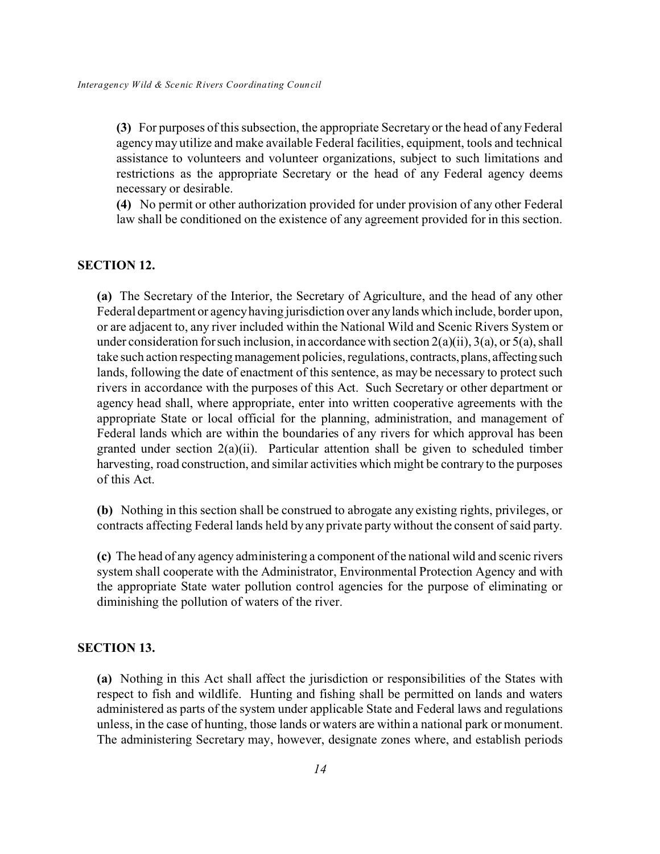**(3)** For purposes of this subsection, the appropriate Secretary or the head of any Federal agency may utilize and make available Federal facilities, equipment, tools and technical assistance to volunteers and volunteer organizations, subject to such limitations and restrictions as the appropriate Secretary or the head of any Federal agency deems necessary or desirable.

**(4)** No permit or other authorization provided for under provision of any other Federal law shall be conditioned on the existence of any agreement provided for in this section.

# **SECTION 12.**

**(a)** The Secretary of the Interior, the Secretary of Agriculture, and the head of any other Federal department or agency having jurisdiction over any lands which include, border upon, or are adjacent to, any river included within the National Wild and Scenic Rivers System or under consideration for such inclusion, in accordance with section  $2(a)(ii)$ ,  $3(a)$ , or  $5(a)$ , shall take such action respecting management policies, regulations, contracts,plans, affecting such lands, following the date of enactment of this sentence, as may be necessary to protect such rivers in accordance with the purposes of this Act. Such Secretary or other department or agency head shall, where appropriate, enter into written cooperative agreements with the appropriate State or local official for the planning, administration, and management of Federal lands which are within the boundaries of any rivers for which approval has been granted under section  $2(a)(ii)$ . Particular attention shall be given to scheduled timber harvesting, road construction, and similar activities which might be contrary to the purposes of this Act.

**(b)** Nothing in this section shall be construed to abrogate any existing rights, privileges, or contracts affecting Federal lands held by any private party without the consent of said party.

**(c)** The head of any agency administering a component of the national wild and scenic rivers system shall cooperate with the Administrator, Environmental Protection Agency and with the appropriate State water pollution control agencies for the purpose of eliminating or diminishing the pollution of waters of the river.

## **SECTION 13.**

**(a)** Nothing in this Act shall affect the jurisdiction or responsibilities of the States with respect to fish and wildlife. Hunting and fishing shall be permitted on lands and waters administered as parts of the system under applicable State and Federal laws and regulations unless, in the case of hunting, those lands or waters are within a national park or monument. The administering Secretary may, however, designate zones where, and establish periods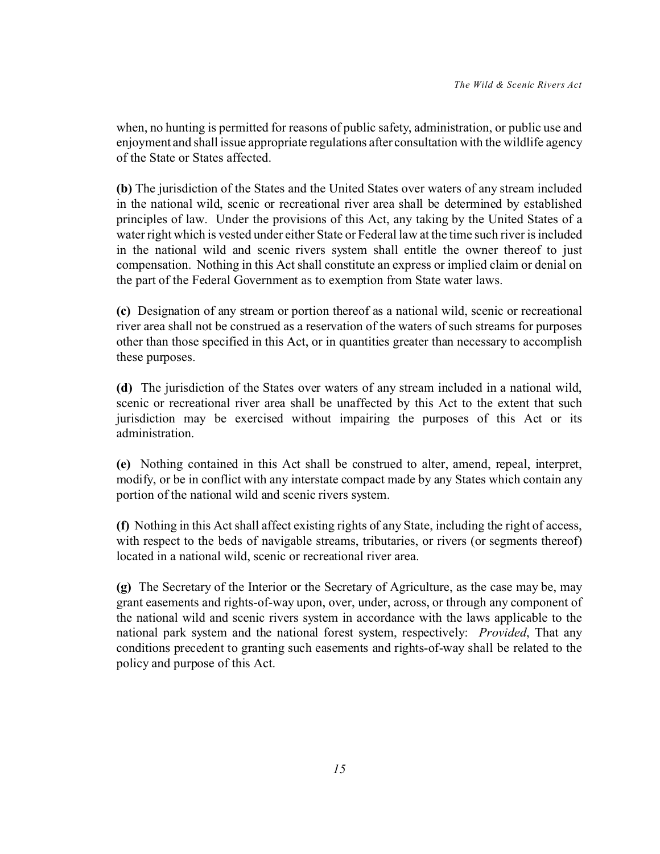when, no hunting is permitted for reasons of public safety, administration, or public use and enjoyment and shall issue appropriate regulations after consultation with the wildlife agency of the State or States affected.

**(b)** The jurisdiction of the States and the United States over waters of any stream included in the national wild, scenic or recreational river area shall be determined by established principles of law. Under the provisions of this Act, any taking by the United States of a water right which is vested under either State or Federal law at the time such river is included in the national wild and scenic rivers system shall entitle the owner thereof to just compensation. Nothing in this Act shall constitute an express or implied claim or denial on the part of the Federal Government as to exemption from State water laws.

**(c)** Designation of any stream or portion thereof as a national wild, scenic or recreational river area shall not be construed as a reservation of the waters of such streams for purposes other than those specified in this Act, or in quantities greater than necessary to accomplish these purposes.

**(d)** The jurisdiction of the States over waters of any stream included in a national wild, scenic or recreational river area shall be unaffected by this Act to the extent that such jurisdiction may be exercised without impairing the purposes of this Act or its administration.

**(e)** Nothing contained in this Act shall be construed to alter, amend, repeal, interpret, modify, or be in conflict with any interstate compact made by any States which contain any portion of the national wild and scenic rivers system.

**(f)** Nothing in this Act shall affect existing rights of any State, including the right of access, with respect to the beds of navigable streams, tributaries, or rivers (or segments thereof) located in a national wild, scenic or recreational river area.

**(g)** The Secretary of the Interior or the Secretary of Agriculture, as the case may be, may grant easements and rights-of-way upon, over, under, across, or through any component of the national wild and scenic rivers system in accordance with the laws applicable to the national park system and the national forest system, respectively: *Provided*, That any conditions precedent to granting such easements and rights-of-way shall be related to the policy and purpose of this Act.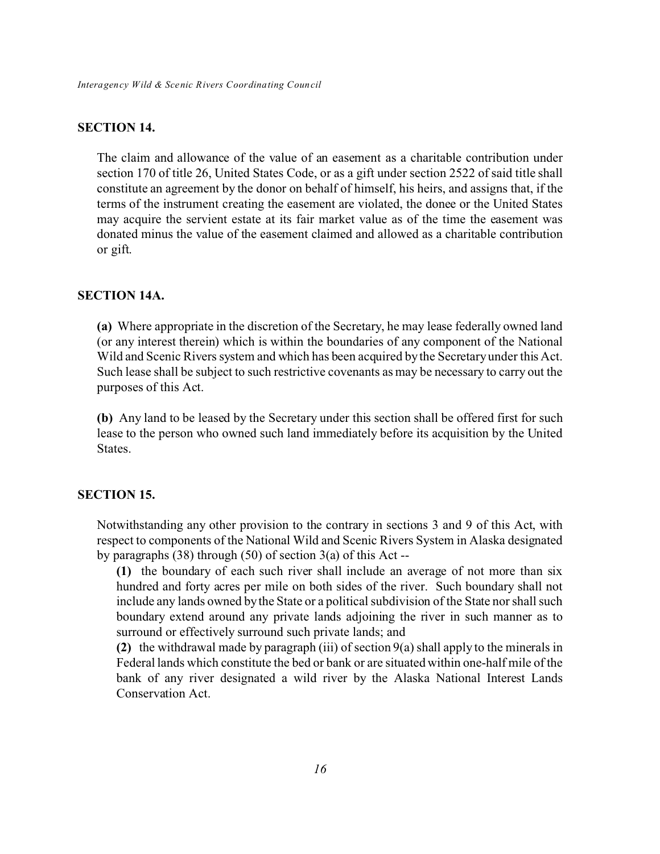# **SECTION 14.**

The claim and allowance of the value of an easement as a charitable contribution under section 170 of title 26, United States Code, or as a gift under section 2522 of said title shall constitute an agreement by the donor on behalf of himself, his heirs, and assigns that, if the terms of the instrument creating the easement are violated, the donee or the United States may acquire the servient estate at its fair market value as of the time the easement was donated minus the value of the easement claimed and allowed as a charitable contribution or gift.

#### **SECTION 14A.**

**(a)** Where appropriate in the discretion of the Secretary, he may lease federally owned land (or any interest therein) which is within the boundaries of any component of the National Wild and Scenic Rivers system and which has been acquired by the Secretary under this Act. Such lease shall be subject to such restrictive covenants as may be necessary to carry out the purposes of this Act.

**(b)** Any land to be leased by the Secretary under this section shall be offered first for such lease to the person who owned such land immediately before its acquisition by the United States.

# **SECTION 15.**

Notwithstanding any other provision to the contrary in sections 3 and 9 of this Act, with respect to components of the National Wild and Scenic Rivers System in Alaska designated by paragraphs  $(38)$  through  $(50)$  of section  $3(a)$  of this Act --

**(1)** the boundary of each such river shall include an average of not more than six hundred and forty acres per mile on both sides of the river. Such boundary shall not include any lands owned by the State or a political subdivision of the State nor shall such boundary extend around any private lands adjoining the river in such manner as to surround or effectively surround such private lands; and

**(2)** the withdrawal made by paragraph (iii) of section 9(a) shall apply to the minerals in Federal lands which constitute the bed or bank or are situated within one-half mile of the bank of any river designated a wild river by the Alaska National Interest Lands Conservation Act.